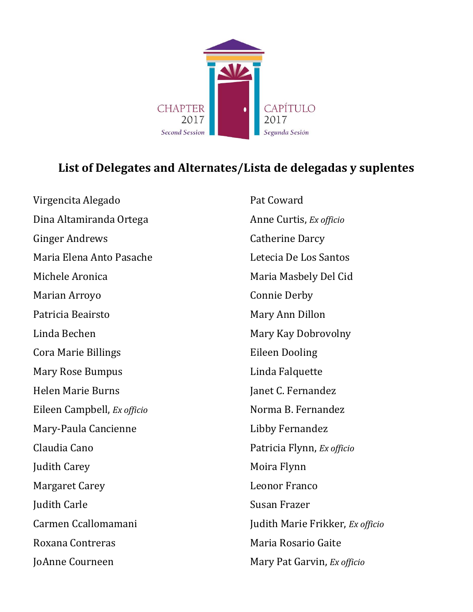

## **List of Delegates and Alternates/Lista de delegadas y suplentes**

Virgencita Alegado Dina Altamiranda Ortega Ginger Andrews Maria Elena Anto Pasache Michele Aronica Marian Arroyo Patricia Beairsto Linda Bechen Cora Marie Billings Mary Rose Bumpus Helen Marie Burns Eileen Campbell, *Ex officio* Mary-Paula Cancienne Claudia Cano Judith Carey Margaret Carey Judith Carle Carmen Ccallomamani Roxana Contreras JoAnne Courneen

Pat Coward Anne Curtis, *Ex officio* Catherine Darcy Letecia De Los Santos Maria Masbely Del Cid Connie Derby Mary Ann Dillon Mary Kay Dobrovolny Eileen Dooling Linda Falquette Janet C. Fernandez Norma B. Fernandez Libby Fernandez Patricia Flynn, *Ex officio* Moira Flynn Leonor Franco Susan Frazer Judith Marie Frikker, *Ex officio* Maria Rosario Gaite Mary Pat Garvin, *Ex officio*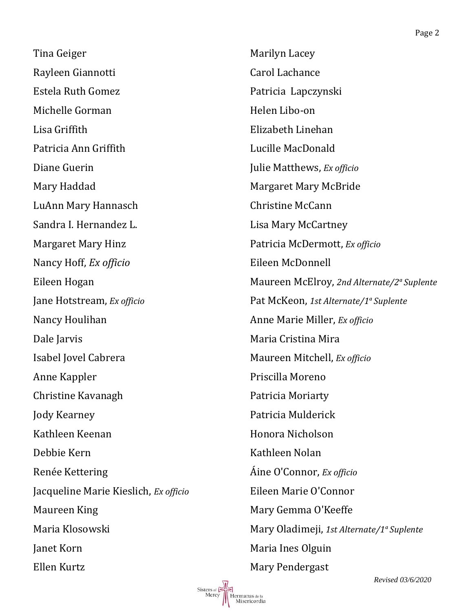Tina Geiger Rayleen Giannotti Estela Ruth Gomez Michelle Gorman Lisa Griffith Patricia Ann Griffith Diane Guerin Mary Haddad LuAnn Mary Hannasch Sandra I. Hernandez L. Margaret Mary Hinz Nancy Hoff, *Ex officio* Eileen Hogan Jane Hotstream, *Ex officio* Nancy Houlihan Dale Jarvis Isabel Jovel Cabrera Anne Kappler Christine Kavanagh Jody Kearney Kathleen Keenan Debbie Kern Renée Kettering Jacqueline Marie Kieslich, *Ex officio* Maureen King Maria Klosowski Janet Korn Ellen Kurtz

Sisters of

.<br>Hermanas de la<br>Misericordia

Marilyn Lacey Carol Lachance Patricia Lapczynski Helen Libo-on Elizabeth Linehan Lucille MacDonald Julie Matthews, *Ex officio* Margaret Mary McBride Christine McCann Lisa Mary McCartney Patricia McDermott, *Ex officio* Eileen McDonnell Maureen McElroy, *2nd Alternate/2ª Suplente* Pat McKeon, *1st Alternate/1ª Suplente* Anne Marie Miller, *Ex officio* Maria Cristina Mira Maureen Mitchell, *Ex officio* Priscilla Moreno Patricia Moriarty Patricia Mulderick Honora Nicholson Kathleen Nolan Áine O'Connor, *Ex officio* Eileen Marie O'Connor Mary Gemma O'Keeffe Mary Oladimeji, *1st Alternate/1ª Suplente* Maria Ines Olguin Mary Pendergast

*Revised 03/6/2020*